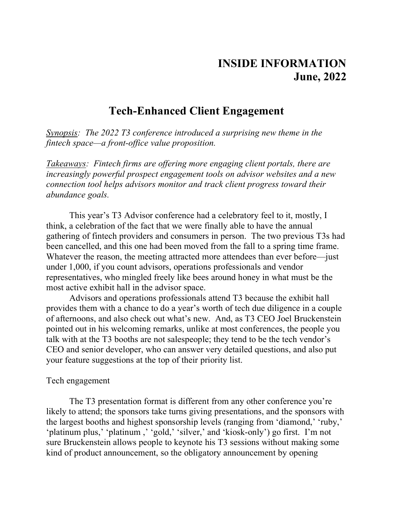# **INSIDE INFORMATION June, 2022**

# **Tech-Enhanced Client Engagement**

*Synopsis: The 2022 T3 conference introduced a surprising new theme in the fintech space—a front-office value proposition.*

*Takeaways: Fintech firms are offering more engaging client portals, there are increasingly powerful prospect engagement tools on advisor websites and a new connection tool helps advisors monitor and track client progress toward their abundance goals.*

This year's T3 Advisor conference had a celebratory feel to it, mostly, I think, a celebration of the fact that we were finally able to have the annual gathering of fintech providers and consumers in person. The two previous T3s had been cancelled, and this one had been moved from the fall to a spring time frame. Whatever the reason, the meeting attracted more attendees than ever before—just under 1,000, if you count advisors, operations professionals and vendor representatives, who mingled freely like bees around honey in what must be the most active exhibit hall in the advisor space.

Advisors and operations professionals attend T3 because the exhibit hall provides them with a chance to do a year's worth of tech due diligence in a couple of afternoons, and also check out what's new. And, as T3 CEO Joel Bruckenstein pointed out in his welcoming remarks, unlike at most conferences, the people you talk with at the T3 booths are not salespeople; they tend to be the tech vendor's CEO and senior developer, who can answer very detailed questions, and also put your feature suggestions at the top of their priority list.

## Tech engagement

The T3 presentation format is different from any other conference you're likely to attend; the sponsors take turns giving presentations, and the sponsors with the largest booths and highest sponsorship levels (ranging from 'diamond,' 'ruby,' 'platinum plus,' 'platinum ,' 'gold,' 'silver,' and 'kiosk-only') go first. I'm not sure Bruckenstein allows people to keynote his T3 sessions without making some kind of product announcement, so the obligatory announcement by opening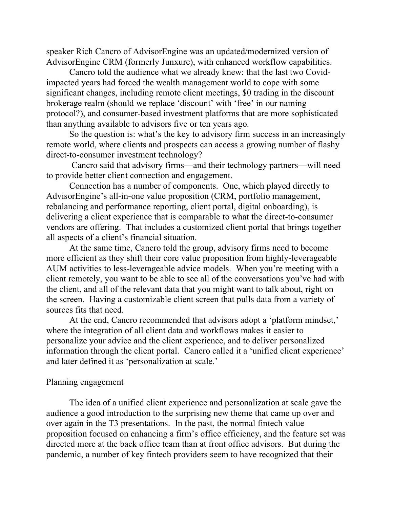speaker Rich Cancro of AdvisorEngine was an updated/modernized version of AdvisorEngine CRM (formerly Junxure), with enhanced workflow capabilities.

Cancro told the audience what we already knew: that the last two Covidimpacted years had forced the wealth management world to cope with some significant changes, including remote client meetings, \$0 trading in the discount brokerage realm (should we replace 'discount' with 'free' in our naming protocol?), and consumer-based investment platforms that are more sophisticated than anything available to advisors five or ten years ago.

So the question is: what's the key to advisory firm success in an increasingly remote world, where clients and prospects can access a growing number of flashy direct-to-consumer investment technology?

Cancro said that advisory firms—and their technology partners—will need to provide better client connection and engagement.

Connection has a number of components. One, which played directly to AdvisorEngine's all-in-one value proposition (CRM, portfolio management, rebalancing and performance reporting, client portal, digital onboarding), is delivering a client experience that is comparable to what the direct-to-consumer vendors are offering. That includes a customized client portal that brings together all aspects of a client's financial situation.

At the same time, Cancro told the group, advisory firms need to become more efficient as they shift their core value proposition from highly-leverageable AUM activities to less-leverageable advice models. When you're meeting with a client remotely, you want to be able to see all of the conversations you've had with the client, and all of the relevant data that you might want to talk about, right on the screen. Having a customizable client screen that pulls data from a variety of sources fits that need.

At the end, Cancro recommended that advisors adopt a 'platform mindset,' where the integration of all client data and workflows makes it easier to personalize your advice and the client experience, and to deliver personalized information through the client portal. Cancro called it a 'unified client experience' and later defined it as 'personalization at scale.'

#### Planning engagement

The idea of a unified client experience and personalization at scale gave the audience a good introduction to the surprising new theme that came up over and over again in the T3 presentations. In the past, the normal fintech value proposition focused on enhancing a firm's office efficiency, and the feature set was directed more at the back office team than at front office advisors. But during the pandemic, a number of key fintech providers seem to have recognized that their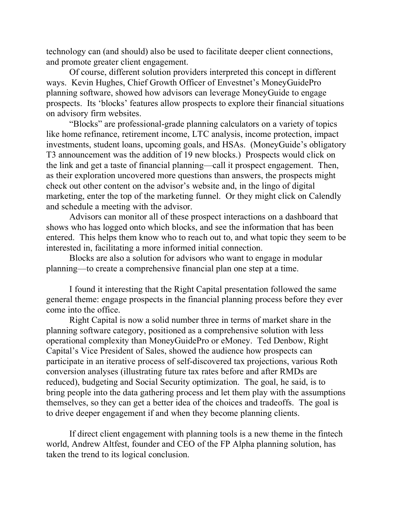technology can (and should) also be used to facilitate deeper client connections, and promote greater client engagement.

Of course, different solution providers interpreted this concept in different ways. Kevin Hughes, Chief Growth Officer of Envestnet's MoneyGuidePro planning software, showed how advisors can leverage MoneyGuide to engage prospects. Its 'blocks' features allow prospects to explore their financial situations on advisory firm websites.

"Blocks" are professional-grade planning calculators on a variety of topics like home refinance, retirement income, LTC analysis, income protection, impact investments, student loans, upcoming goals, and HSAs. (MoneyGuide's obligatory T3 announcement was the addition of 19 new blocks.) Prospects would click on the link and get a taste of financial planning—call it prospect engagement. Then, as their exploration uncovered more questions than answers, the prospects might check out other content on the advisor's website and, in the lingo of digital marketing, enter the top of the marketing funnel. Or they might click on Calendly and schedule a meeting with the advisor.

Advisors can monitor all of these prospect interactions on a dashboard that shows who has logged onto which blocks, and see the information that has been entered. This helps them know who to reach out to, and what topic they seem to be interested in, facilitating a more informed initial connection.

Blocks are also a solution for advisors who want to engage in modular planning—to create a comprehensive financial plan one step at a time.

I found it interesting that the Right Capital presentation followed the same general theme: engage prospects in the financial planning process before they ever come into the office.

Right Capital is now a solid number three in terms of market share in the planning software category, positioned as a comprehensive solution with less operational complexity than MoneyGuidePro or eMoney. Ted Denbow, Right Capital's Vice President of Sales, showed the audience how prospects can participate in an iterative process of self-discovered tax projections, various Roth conversion analyses (illustrating future tax rates before and after RMDs are reduced), budgeting and Social Security optimization. The goal, he said, is to bring people into the data gathering process and let them play with the assumptions themselves, so they can get a better idea of the choices and tradeoffs. The goal is to drive deeper engagement if and when they become planning clients.

If direct client engagement with planning tools is a new theme in the fintech world, Andrew Altfest, founder and CEO of the FP Alpha planning solution, has taken the trend to its logical conclusion.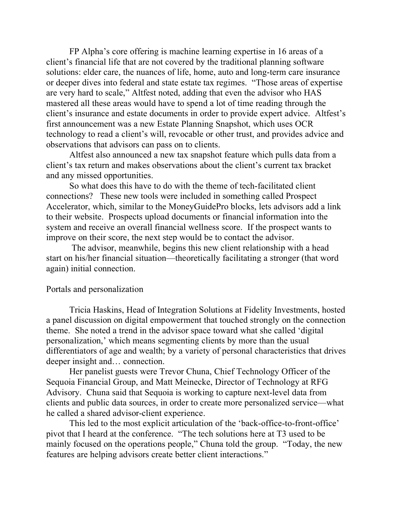FP Alpha's core offering is machine learning expertise in 16 areas of a client's financial life that are not covered by the traditional planning software solutions: elder care, the nuances of life, home, auto and long-term care insurance or deeper dives into federal and state estate tax regimes. "Those areas of expertise are very hard to scale," Altfest noted, adding that even the advisor who HAS mastered all these areas would have to spend a lot of time reading through the client's insurance and estate documents in order to provide expert advice. Altfest's first announcement was a new Estate Planning Snapshot, which uses OCR technology to read a client's will, revocable or other trust, and provides advice and observations that advisors can pass on to clients.

Altfest also announced a new tax snapshot feature which pulls data from a client's tax return and makes observations about the client's current tax bracket and any missed opportunities.

So what does this have to do with the theme of tech-facilitated client connections? These new tools were included in something called Prospect Accelerator, which, similar to the MoneyGuidePro blocks, lets advisors add a link to their website. Prospects upload documents or financial information into the system and receive an overall financial wellness score. If the prospect wants to improve on their score, the next step would be to contact the advisor.

The advisor, meanwhile, begins this new client relationship with a head start on his/her financial situation—theoretically facilitating a stronger (that word again) initial connection.

#### Portals and personalization

Tricia Haskins, Head of Integration Solutions at Fidelity Investments, hosted a panel discussion on digital empowerment that touched strongly on the connection theme. She noted a trend in the advisor space toward what she called 'digital personalization,' which means segmenting clients by more than the usual differentiators of age and wealth; by a variety of personal characteristics that drives deeper insight and… connection.

Her panelist guests were Trevor Chuna, Chief Technology Officer of the Sequoia Financial Group, and Matt Meinecke, Director of Technology at RFG Advisory. Chuna said that Sequoia is working to capture next-level data from clients and public data sources, in order to create more personalized service—what he called a shared advisor-client experience.

This led to the most explicit articulation of the 'back-office-to-front-office' pivot that I heard at the conference. "The tech solutions here at T3 used to be mainly focused on the operations people," Chuna told the group. "Today, the new features are helping advisors create better client interactions."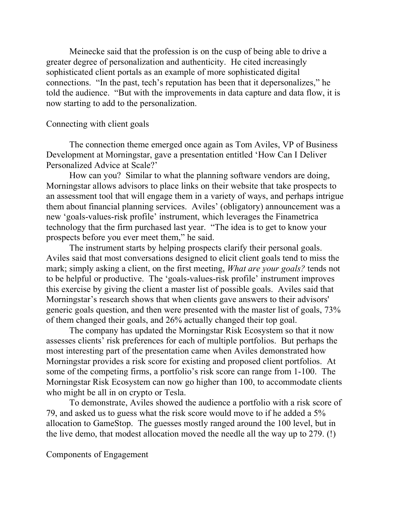Meinecke said that the profession is on the cusp of being able to drive a greater degree of personalization and authenticity. He cited increasingly sophisticated client portals as an example of more sophisticated digital connections. "In the past, tech's reputation has been that it depersonalizes," he told the audience. "But with the improvements in data capture and data flow, it is now starting to add to the personalization.

## Connecting with client goals

The connection theme emerged once again as Tom Aviles, VP of Business Development at Morningstar, gave a presentation entitled 'How Can I Deliver Personalized Advice at Scale?'

How can you? Similar to what the planning software vendors are doing, Morningstar allows advisors to place links on their website that take prospects to an assessment tool that will engage them in a variety of ways, and perhaps intrigue them about financial planning services. Aviles' (obligatory) announcement was a new 'goals-values-risk profile' instrument, which leverages the Finametrica technology that the firm purchased last year. "The idea is to get to know your prospects before you ever meet them," he said.

The instrument starts by helping prospects clarify their personal goals. Aviles said that most conversations designed to elicit client goals tend to miss the mark; simply asking a client, on the first meeting, *What are your goals?* tends not to be helpful or productive. The 'goals-values-risk profile' instrument improves this exercise by giving the client a master list of possible goals. Aviles said that Morningstar's research shows that when clients gave answers to their advisors' generic goals question, and then were presented with the master list of goals, 73% of them changed their goals, and 26% actually changed their top goal.

The company has updated the Morningstar Risk Ecosystem so that it now assesses clients' risk preferences for each of multiple portfolios. But perhaps the most interesting part of the presentation came when Aviles demonstrated how Morningstar provides a risk score for existing and proposed client portfolios. At some of the competing firms, a portfolio's risk score can range from 1-100. The Morningstar Risk Ecosystem can now go higher than 100, to accommodate clients who might be all in on crypto or Tesla.

To demonstrate, Aviles showed the audience a portfolio with a risk score of 79, and asked us to guess what the risk score would move to if he added a 5% allocation to GameStop. The guesses mostly ranged around the 100 level, but in the live demo, that modest allocation moved the needle all the way up to 279. (!)

Components of Engagement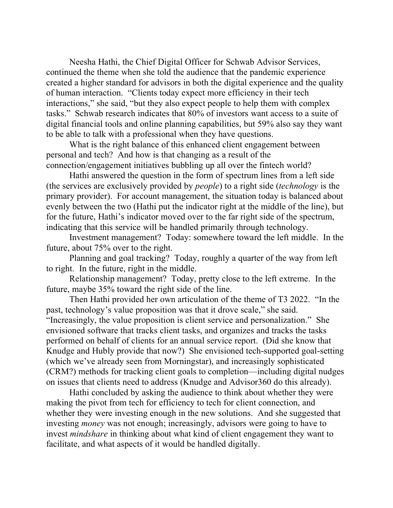Neesha Hathi, the Chief Digital Officer for Schwab Advisor Services, continued the theme when she told the audience that the pandemic experience created a higher standard for advisors in both the digital experience and the quality of human interaction. "Clients today expect more efficiency in their tech interactions," she said, "but they also expect people to help them with complex tasks." Schwab research indicates that 80% of investors want access to a suite of digital financial tools and online planning capabilities, but 59% also say they want to be able to talk with a professional when they have questions.

What is the right balance of this enhanced client engagement between personal and tech? And how is that changing as a result of the connection/engagement initiatives bubbling up all over the fintech world?

Hathi answered the question in the form of spectrum lines from a left side (the services are exclusively provided by *people*) to a right side (*technology* is the primary provider). For account management, the situation today is balanced about evenly between the two (Hathi put the indicator right at the middle of the line), but for the future, Hathi's indicator moved over to the far right side of the spectrum, indicating that this service will be handled primarily through technology.

Investment management? Today: somewhere toward the left middle. In the future, about 75% over to the right.

Planning and goal tracking? Today, roughly a quarter of the way from left to right. In the future, right in the middle.

Relationship management? Today, pretty close to the left extreme. In the future, maybe 35% toward the right side of the line.

Then Hathi provided her own articulation of the theme of T3 2022. "In the past, technology's value proposition was that it drove scale," she said. "Increasingly, the value proposition is client service and personalization." She envisioned software that tracks client tasks, and organizes and tracks the tasks performed on behalf of clients for an annual service report. (Did she know that Knudge and Hubly provide that now?) She envisioned tech-supported goal-setting (which we've already seen from Morningstar), and increasingly sophisticated (CRM?) methods for tracking client goals to completion—including digital nudges on issues that clients need to address (Knudge and Advisor360 do this already).

Hathi concluded by asking the audience to think about whether they were making the pivot from tech for efficiency to tech for client connection, and whether they were investing enough in the new solutions. And she suggested that investing *money* was not enough; increasingly, advisors were going to have to invest *mindshare* in thinking about what kind of client engagement they want to facilitate, and what aspects of it would be handled digitally.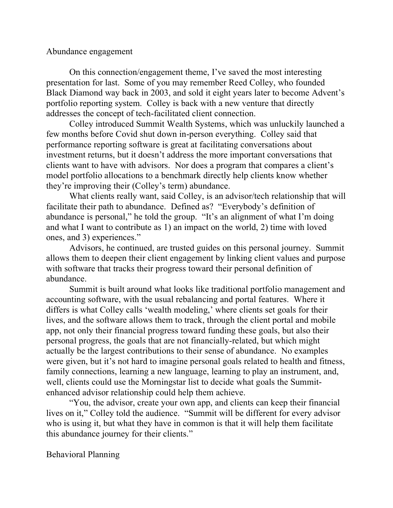## Abundance engagement

On this connection/engagement theme, I've saved the most interesting presentation for last. Some of you may remember Reed Colley, who founded Black Diamond way back in 2003, and sold it eight years later to become Advent's portfolio reporting system. Colley is back with a new venture that directly addresses the concept of tech-facilitated client connection.

Colley introduced Summit Wealth Systems, which was unluckily launched a few months before Covid shut down in-person everything. Colley said that performance reporting software is great at facilitating conversations about investment returns, but it doesn't address the more important conversations that clients want to have with advisors. Nor does a program that compares a client's model portfolio allocations to a benchmark directly help clients know whether they're improving their (Colley's term) abundance.

What clients really want, said Colley, is an advisor/tech relationship that will facilitate their path to abundance. Defined as? "Everybody's definition of abundance is personal," he told the group. "It's an alignment of what I'm doing and what I want to contribute as 1) an impact on the world, 2) time with loved ones, and 3) experiences."

Advisors, he continued, are trusted guides on this personal journey. Summit allows them to deepen their client engagement by linking client values and purpose with software that tracks their progress toward their personal definition of abundance.

Summit is built around what looks like traditional portfolio management and accounting software, with the usual rebalancing and portal features. Where it differs is what Colley calls 'wealth modeling,' where clients set goals for their lives, and the software allows them to track, through the client portal and mobile app, not only their financial progress toward funding these goals, but also their personal progress, the goals that are not financially-related, but which might actually be the largest contributions to their sense of abundance. No examples were given, but it's not hard to imagine personal goals related to health and fitness, family connections, learning a new language, learning to play an instrument, and, well, clients could use the Morningstar list to decide what goals the Summitenhanced advisor relationship could help them achieve.

"You, the advisor, create your own app, and clients can keep their financial lives on it," Colley told the audience. "Summit will be different for every advisor who is using it, but what they have in common is that it will help them facilitate this abundance journey for their clients."

Behavioral Planning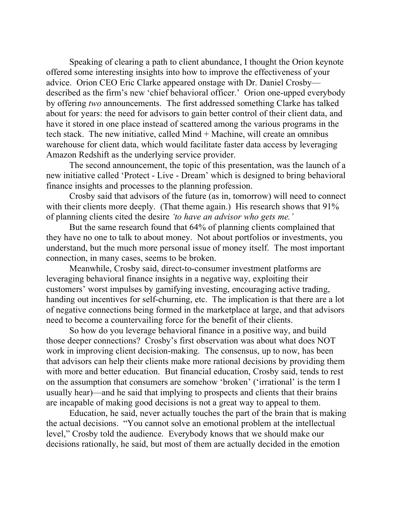Speaking of clearing a path to client abundance, I thought the Orion keynote offered some interesting insights into how to improve the effectiveness of your advice. Orion CEO Eric Clarke appeared onstage with Dr. Daniel Crosby described as the firm's new 'chief behavioral officer.' Orion one-upped everybody by offering *two* announcements. The first addressed something Clarke has talked about for years: the need for advisors to gain better control of their client data, and have it stored in one place instead of scattered among the various programs in the tech stack. The new initiative, called Mind + Machine, will create an omnibus warehouse for client data, which would facilitate faster data access by leveraging Amazon Redshift as the underlying service provider.

The second announcement, the topic of this presentation, was the launch of a new initiative called 'Protect - Live - Dream' which is designed to bring behavioral finance insights and processes to the planning profession.

Crosby said that advisors of the future (as in, tomorrow) will need to connect with their clients more deeply. (That theme again.) His research shows that 91% of planning clients cited the desire *'to have an advisor who gets me.'*

But the same research found that 64% of planning clients complained that they have no one to talk to about money. Not about portfolios or investments, you understand, but the much more personal issue of money itself. The most important connection, in many cases, seems to be broken.

Meanwhile, Crosby said, direct-to-consumer investment platforms are leveraging behavioral finance insights in a negative way, exploiting their customers' worst impulses by gamifying investing, encouraging active trading, handing out incentives for self-churning, etc. The implication is that there are a lot of negative connections being formed in the marketplace at large, and that advisors need to become a countervailing force for the benefit of their clients.

So how do you leverage behavioral finance in a positive way, and build those deeper connections? Crosby's first observation was about what does NOT work in improving client decision-making. The consensus, up to now, has been that advisors can help their clients make more rational decisions by providing them with more and better education. But financial education, Crosby said, tends to rest on the assumption that consumers are somehow 'broken' ('irrational' is the term I usually hear)—and he said that implying to prospects and clients that their brains are incapable of making good decisions is not a great way to appeal to them.

Education, he said, never actually touches the part of the brain that is making the actual decisions. "You cannot solve an emotional problem at the intellectual level," Crosby told the audience. Everybody knows that we should make our decisions rationally, he said, but most of them are actually decided in the emotion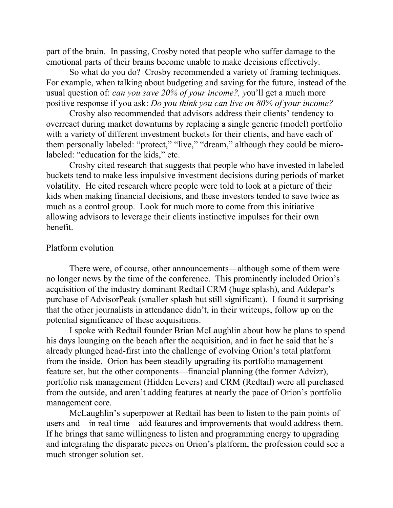part of the brain. In passing, Crosby noted that people who suffer damage to the emotional parts of their brains become unable to make decisions effectively.

So what do you do? Crosby recommended a variety of framing techniques. For example, when talking about budgeting and saving for the future, instead of the usual question of: *can you save 20% of your income?, y*ou'll get a much more positive response if you ask: *Do you think you can live on 80% of your income?*

Crosby also recommended that advisors address their clients' tendency to overreact during market downturns by replacing a single generic (model) portfolio with a variety of different investment buckets for their clients, and have each of them personally labeled: "protect," "live," "dream," although they could be microlabeled: "education for the kids," etc.

Crosby cited research that suggests that people who have invested in labeled buckets tend to make less impulsive investment decisions during periods of market volatility. He cited research where people were told to look at a picture of their kids when making financial decisions, and these investors tended to save twice as much as a control group. Look for much more to come from this initiative allowing advisors to leverage their clients instinctive impulses for their own benefit.

#### Platform evolution

There were, of course, other announcements—although some of them were no longer news by the time of the conference. This prominently included Orion's acquisition of the industry dominant Redtail CRM (huge splash), and Addepar's purchase of AdvisorPeak (smaller splash but still significant). I found it surprising that the other journalists in attendance didn't, in their writeups, follow up on the potential significance of these acquisitions.

I spoke with Redtail founder Brian McLaughlin about how he plans to spend his days lounging on the beach after the acquisition, and in fact he said that he's already plunged head-first into the challenge of evolving Orion's total platform from the inside. Orion has been steadily upgrading its portfolio management feature set, but the other components—financial planning (the former Advizr), portfolio risk management (Hidden Levers) and CRM (Redtail) were all purchased from the outside, and aren't adding features at nearly the pace of Orion's portfolio management core.

McLaughlin's superpower at Redtail has been to listen to the pain points of users and—in real time—add features and improvements that would address them. If he brings that same willingness to listen and programming energy to upgrading and integrating the disparate pieces on Orion's platform, the profession could see a much stronger solution set.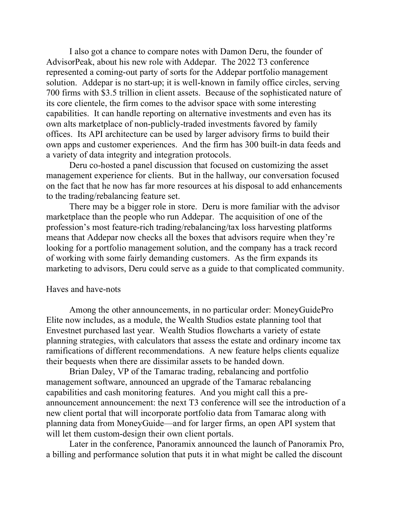I also got a chance to compare notes with Damon Deru, the founder of AdvisorPeak, about his new role with Addepar. The 2022 T3 conference represented a coming-out party of sorts for the Addepar portfolio management solution. Addepar is no start-up; it is well-known in family office circles, serving 700 firms with \$3.5 trillion in client assets. Because of the sophisticated nature of its core clientele, the firm comes to the advisor space with some interesting capabilities. It can handle reporting on alternative investments and even has its own alts marketplace of non-publicly-traded investments favored by family offices. Its API architecture can be used by larger advisory firms to build their own apps and customer experiences. And the firm has 300 built-in data feeds and a variety of data integrity and integration protocols.

Deru co-hosted a panel discussion that focused on customizing the asset management experience for clients. But in the hallway, our conversation focused on the fact that he now has far more resources at his disposal to add enhancements to the trading/rebalancing feature set.

There may be a bigger role in store. Deru is more familiar with the advisor marketplace than the people who run Addepar. The acquisition of one of the profession's most feature-rich trading/rebalancing/tax loss harvesting platforms means that Addepar now checks all the boxes that advisors require when they're looking for a portfolio management solution, and the company has a track record of working with some fairly demanding customers. As the firm expands its marketing to advisors, Deru could serve as a guide to that complicated community.

#### Haves and have-nots

Among the other announcements, in no particular order: MoneyGuidePro Elite now includes, as a module, the Wealth Studios estate planning tool that Envestnet purchased last year. Wealth Studios flowcharts a variety of estate planning strategies, with calculators that assess the estate and ordinary income tax ramifications of different recommendations. A new feature helps clients equalize their bequests when there are dissimilar assets to be handed down.

Brian Daley, VP of the Tamarac trading, rebalancing and portfolio management software, announced an upgrade of the Tamarac rebalancing capabilities and cash monitoring features. And you might call this a preannouncement announcement: the next T3 conference will see the introduction of a new client portal that will incorporate portfolio data from Tamarac along with planning data from MoneyGuide—and for larger firms, an open API system that will let them custom-design their own client portals.

Later in the conference, Panoramix announced the launch of Panoramix Pro, a billing and performance solution that puts it in what might be called the discount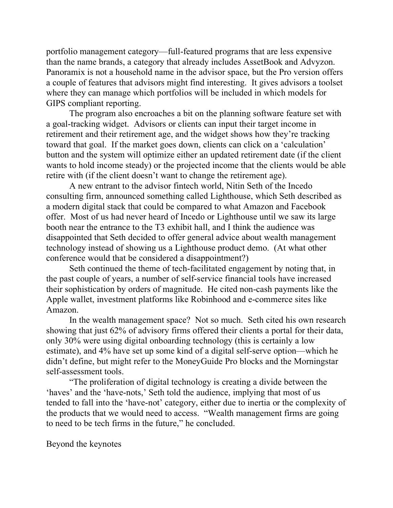portfolio management category—full-featured programs that are less expensive than the name brands, a category that already includes AssetBook and Advyzon. Panoramix is not a household name in the advisor space, but the Pro version offers a couple of features that advisors might find interesting. It gives advisors a toolset where they can manage which portfolios will be included in which models for GIPS compliant reporting.

The program also encroaches a bit on the planning software feature set with a goal-tracking widget. Advisors or clients can input their target income in retirement and their retirement age, and the widget shows how they're tracking toward that goal. If the market goes down, clients can click on a 'calculation' button and the system will optimize either an updated retirement date (if the client wants to hold income steady) or the projected income that the clients would be able retire with (if the client doesn't want to change the retirement age).

A new entrant to the advisor fintech world, Nitin Seth of the Incedo consulting firm, announced something called Lighthouse, which Seth described as a modern digital stack that could be compared to what Amazon and Facebook offer. Most of us had never heard of Incedo or Lighthouse until we saw its large booth near the entrance to the T3 exhibit hall, and I think the audience was disappointed that Seth decided to offer general advice about wealth management technology instead of showing us a Lighthouse product demo. (At what other conference would that be considered a disappointment?)

Seth continued the theme of tech-facilitated engagement by noting that, in the past couple of years, a number of self-service financial tools have increased their sophistication by orders of magnitude. He cited non-cash payments like the Apple wallet, investment platforms like Robinhood and e-commerce sites like Amazon.

In the wealth management space? Not so much. Seth cited his own research showing that just 62% of advisory firms offered their clients a portal for their data, only 30% were using digital onboarding technology (this is certainly a low estimate), and 4% have set up some kind of a digital self-serve option—which he didn't define, but might refer to the MoneyGuide Pro blocks and the Morningstar self-assessment tools.

"The proliferation of digital technology is creating a divide between the 'haves' and the 'have-nots,' Seth told the audience, implying that most of us tended to fall into the 'have-not' category, either due to inertia or the complexity of the products that we would need to access. "Wealth management firms are going to need to be tech firms in the future," he concluded.

Beyond the keynotes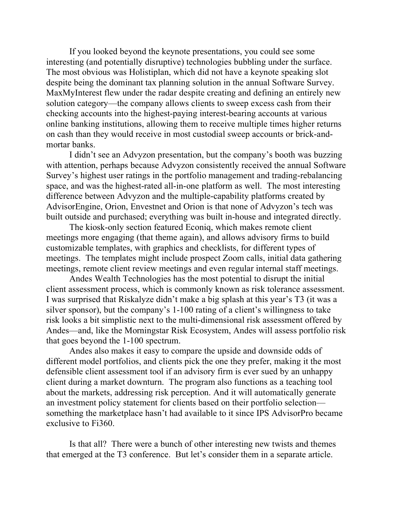If you looked beyond the keynote presentations, you could see some interesting (and potentially disruptive) technologies bubbling under the surface. The most obvious was Holistiplan, which did not have a keynote speaking slot despite being the dominant tax planning solution in the annual Software Survey. MaxMyInterest flew under the radar despite creating and defining an entirely new solution category—the company allows clients to sweep excess cash from their checking accounts into the highest-paying interest-bearing accounts at various online banking institutions, allowing them to receive multiple times higher returns on cash than they would receive in most custodial sweep accounts or brick-andmortar banks.

I didn't see an Advyzon presentation, but the company's booth was buzzing with attention, perhaps because Advyzon consistently received the annual Software Survey's highest user ratings in the portfolio management and trading-rebalancing space, and was the highest-rated all-in-one platform as well. The most interesting difference between Advyzon and the multiple-capability platforms created by AdvisorEngine, Orion, Envestnet and Orion is that none of Advyzon's tech was built outside and purchased; everything was built in-house and integrated directly.

The kiosk-only section featured Econiq, which makes remote client meetings more engaging (that theme again), and allows advisory firms to build customizable templates, with graphics and checklists, for different types of meetings. The templates might include prospect Zoom calls, initial data gathering meetings, remote client review meetings and even regular internal staff meetings.

Andes Wealth Technologies has the most potential to disrupt the initial client assessment process, which is commonly known as risk tolerance assessment. I was surprised that Riskalyze didn't make a big splash at this year's T3 (it was a silver sponsor), but the company's 1-100 rating of a client's willingness to take risk looks a bit simplistic next to the multi-dimensional risk assessment offered by Andes—and, like the Morningstar Risk Ecosystem, Andes will assess portfolio risk that goes beyond the 1-100 spectrum.

Andes also makes it easy to compare the upside and downside odds of different model portfolios, and clients pick the one they prefer, making it the most defensible client assessment tool if an advisory firm is ever sued by an unhappy client during a market downturn. The program also functions as a teaching tool about the markets, addressing risk perception. And it will automatically generate an investment policy statement for clients based on their portfolio selection something the marketplace hasn't had available to it since IPS AdvisorPro became exclusive to Fi360.

Is that all? There were a bunch of other interesting new twists and themes that emerged at the T3 conference. But let's consider them in a separate article.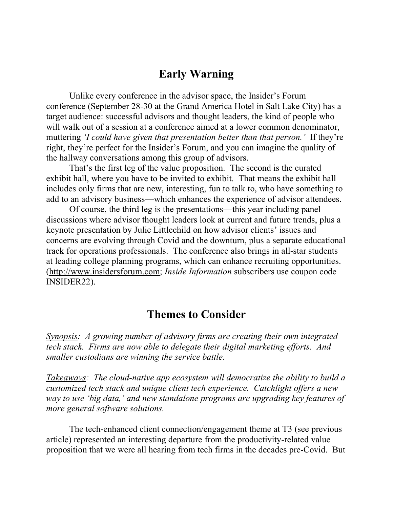## **Early Warning**

Unlike every conference in the advisor space, the Insider's Forum conference (September 28-30 at the Grand America Hotel in Salt Lake City) has a target audience: successful advisors and thought leaders, the kind of people who will walk out of a session at a conference aimed at a lower common denominator, muttering *'I could have given that presentation better than that person.'* If they're right, they're perfect for the Insider's Forum, and you can imagine the quality of the hallway conversations among this group of advisors.

That's the first leg of the value proposition. The second is the curated exhibit hall, where you have to be invited to exhibit. That means the exhibit hall includes only firms that are new, interesting, fun to talk to, who have something to add to an advisory business—which enhances the experience of advisor attendees.

Of course, the third leg is the presentations—this year including panel discussions where advisor thought leaders look at current and future trends, plus a keynote presentation by Julie Littlechild on how advisor clients' issues and concerns are evolving through Covid and the downturn, plus a separate educational track for operations professionals. The conference also brings in all-star students at leading college planning programs, which can enhance recruiting opportunities. (http://www.insidersforum.com; *Inside Information* subscribers use coupon code INSIDER22).

## **Themes to Consider**

*Synopsis: A growing number of advisory firms are creating their own integrated tech stack. Firms are now able to delegate their digital marketing efforts. And smaller custodians are winning the service battle.*

*Takeaways: The cloud-native app ecosystem will democratize the ability to build a customized tech stack and unique client tech experience. Catchlight offers a new way to use 'big data,' and new standalone programs are upgrading key features of more general software solutions.*

The tech-enhanced client connection/engagement theme at T3 (see previous article) represented an interesting departure from the productivity-related value proposition that we were all hearing from tech firms in the decades pre-Covid. But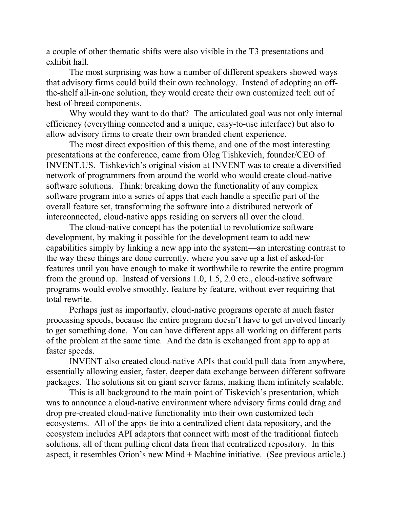a couple of other thematic shifts were also visible in the T3 presentations and exhibit hall.

The most surprising was how a number of different speakers showed ways that advisory firms could build their own technology. Instead of adopting an offthe-shelf all-in-one solution, they would create their own customized tech out of best-of-breed components.

Why would they want to do that? The articulated goal was not only internal efficiency (everything connected and a unique, easy-to-use interface) but also to allow advisory firms to create their own branded client experience.

The most direct exposition of this theme, and one of the most interesting presentations at the conference, came from Oleg Tishkevich, founder/CEO of INVENT.US. Tishkevich's original vision at INVENT was to create a diversified network of programmers from around the world who would create cloud-native software solutions. Think: breaking down the functionality of any complex software program into a series of apps that each handle a specific part of the overall feature set, transforming the software into a distributed network of interconnected, cloud-native apps residing on servers all over the cloud.

The cloud-native concept has the potential to revolutionize software development, by making it possible for the development team to add new capabilities simply by linking a new app into the system—an interesting contrast to the way these things are done currently, where you save up a list of asked-for features until you have enough to make it worthwhile to rewrite the entire program from the ground up. Instead of versions 1.0, 1.5, 2.0 etc., cloud-native software programs would evolve smoothly, feature by feature, without ever requiring that total rewrite.

Perhaps just as importantly, cloud-native programs operate at much faster processing speeds, because the entire program doesn't have to get involved linearly to get something done. You can have different apps all working on different parts of the problem at the same time. And the data is exchanged from app to app at faster speeds.

INVENT also created cloud-native APIs that could pull data from anywhere, essentially allowing easier, faster, deeper data exchange between different software packages. The solutions sit on giant server farms, making them infinitely scalable.

This is all background to the main point of Tiskevich's presentation, which was to announce a cloud-native environment where advisory firms could drag and drop pre-created cloud-native functionality into their own customized tech ecosystems. All of the apps tie into a centralized client data repository, and the ecosystem includes API adaptors that connect with most of the traditional fintech solutions, all of them pulling client data from that centralized repository. In this aspect, it resembles Orion's new Mind + Machine initiative. (See previous article.)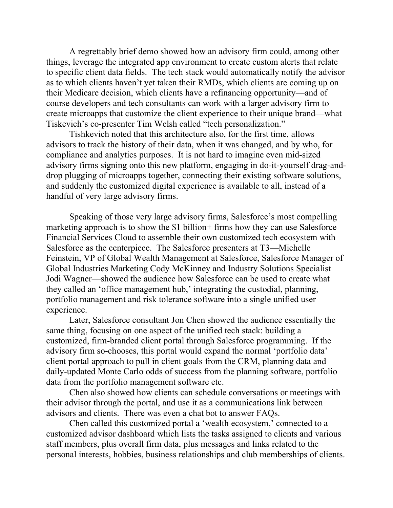A regrettably brief demo showed how an advisory firm could, among other things, leverage the integrated app environment to create custom alerts that relate to specific client data fields. The tech stack would automatically notify the advisor as to which clients haven't yet taken their RMDs, which clients are coming up on their Medicare decision, which clients have a refinancing opportunity—and of course developers and tech consultants can work with a larger advisory firm to create microapps that customize the client experience to their unique brand—what Tiskevich's co-presenter Tim Welsh called "tech personalization."

Tishkevich noted that this architecture also, for the first time, allows advisors to track the history of their data, when it was changed, and by who, for compliance and analytics purposes. It is not hard to imagine even mid-sized advisory firms signing onto this new platform, engaging in do-it-yourself drag-anddrop plugging of microapps together, connecting their existing software solutions, and suddenly the customized digital experience is available to all, instead of a handful of very large advisory firms.

Speaking of those very large advisory firms, Salesforce's most compelling marketing approach is to show the \$1 billion+ firms how they can use Salesforce Financial Services Cloud to assemble their own customized tech ecosystem with Salesforce as the centerpiece. The Salesforce presenters at T3—Michelle Feinstein, VP of Global Wealth Management at Salesforce, Salesforce Manager of Global Industries Marketing Cody McKinney and Industry Solutions Specialist Jodi Wagner—showed the audience how Salesforce can be used to create what they called an 'office management hub,' integrating the custodial, planning, portfolio management and risk tolerance software into a single unified user experience.

Later, Salesforce consultant Jon Chen showed the audience essentially the same thing, focusing on one aspect of the unified tech stack: building a customized, firm-branded client portal through Salesforce programming. If the advisory firm so-chooses, this portal would expand the normal 'portfolio data' client portal approach to pull in client goals from the CRM, planning data and daily-updated Monte Carlo odds of success from the planning software, portfolio data from the portfolio management software etc.

Chen also showed how clients can schedule conversations or meetings with their advisor through the portal, and use it as a communications link between advisors and clients. There was even a chat bot to answer FAQs.

Chen called this customized portal a 'wealth ecosystem,' connected to a customized advisor dashboard which lists the tasks assigned to clients and various staff members, plus overall firm data, plus messages and links related to the personal interests, hobbies, business relationships and club memberships of clients.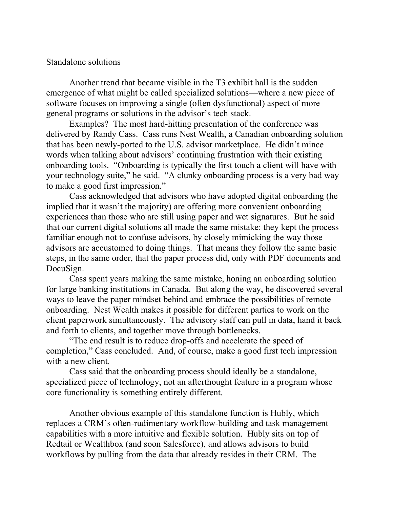### Standalone solutions

Another trend that became visible in the T3 exhibit hall is the sudden emergence of what might be called specialized solutions—where a new piece of software focuses on improving a single (often dysfunctional) aspect of more general programs or solutions in the advisor's tech stack.

Examples? The most hard-hitting presentation of the conference was delivered by Randy Cass. Cass runs Nest Wealth, a Canadian onboarding solution that has been newly-ported to the U.S. advisor marketplace. He didn't mince words when talking about advisors' continuing frustration with their existing onboarding tools. "Onboarding is typically the first touch a client will have with your technology suite," he said. "A clunky onboarding process is a very bad way to make a good first impression."

Cass acknowledged that advisors who have adopted digital onboarding (he implied that it wasn't the majority) are offering more convenient onboarding experiences than those who are still using paper and wet signatures. But he said that our current digital solutions all made the same mistake: they kept the process familiar enough not to confuse advisors, by closely mimicking the way those advisors are accustomed to doing things. That means they follow the same basic steps, in the same order, that the paper process did, only with PDF documents and DocuSign.

Cass spent years making the same mistake, honing an onboarding solution for large banking institutions in Canada. But along the way, he discovered several ways to leave the paper mindset behind and embrace the possibilities of remote onboarding. Nest Wealth makes it possible for different parties to work on the client paperwork simultaneously. The advisory staff can pull in data, hand it back and forth to clients, and together move through bottlenecks.

"The end result is to reduce drop-offs and accelerate the speed of completion," Cass concluded. And, of course, make a good first tech impression with a new client.

Cass said that the onboarding process should ideally be a standalone, specialized piece of technology, not an afterthought feature in a program whose core functionality is something entirely different.

Another obvious example of this standalone function is Hubly, which replaces a CRM's often-rudimentary workflow-building and task management capabilities with a more intuitive and flexible solution. Hubly sits on top of Redtail or Wealthbox (and soon Salesforce), and allows advisors to build workflows by pulling from the data that already resides in their CRM. The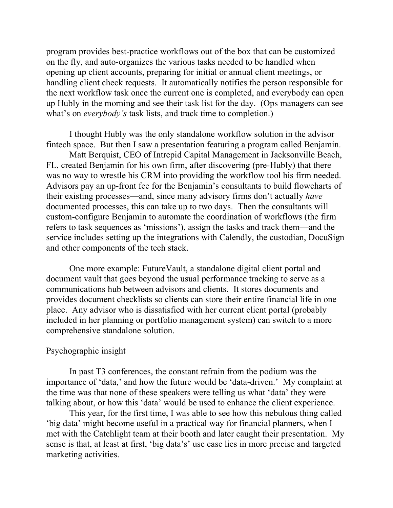program provides best-practice workflows out of the box that can be customized on the fly, and auto-organizes the various tasks needed to be handled when opening up client accounts, preparing for initial or annual client meetings, or handling client check requests. It automatically notifies the person responsible for the next workflow task once the current one is completed, and everybody can open up Hubly in the morning and see their task list for the day. (Ops managers can see what's on *everybody's* task lists, and track time to completion.)

I thought Hubly was the only standalone workflow solution in the advisor fintech space. But then I saw a presentation featuring a program called Benjamin.

Matt Berquist, CEO of Intrepid Capital Management in Jacksonville Beach, FL, created Benjamin for his own firm, after discovering (pre-Hubly) that there was no way to wrestle his CRM into providing the workflow tool his firm needed. Advisors pay an up-front fee for the Benjamin's consultants to build flowcharts of their existing processes—and, since many advisory firms don't actually *have* documented processes, this can take up to two days. Then the consultants will custom-configure Benjamin to automate the coordination of workflows (the firm refers to task sequences as 'missions'), assign the tasks and track them—and the service includes setting up the integrations with Calendly, the custodian, DocuSign and other components of the tech stack.

One more example: FutureVault, a standalone digital client portal and document vault that goes beyond the usual performance tracking to serve as a communications hub between advisors and clients. It stores documents and provides document checklists so clients can store their entire financial life in one place. Any advisor who is dissatisfied with her current client portal (probably included in her planning or portfolio management system) can switch to a more comprehensive standalone solution.

## Psychographic insight

In past T3 conferences, the constant refrain from the podium was the importance of 'data,' and how the future would be 'data-driven.' My complaint at the time was that none of these speakers were telling us what 'data' they were talking about, or how this 'data' would be used to enhance the client experience.

This year, for the first time, I was able to see how this nebulous thing called 'big data' might become useful in a practical way for financial planners, when I met with the Catchlight team at their booth and later caught their presentation. My sense is that, at least at first, 'big data's' use case lies in more precise and targeted marketing activities.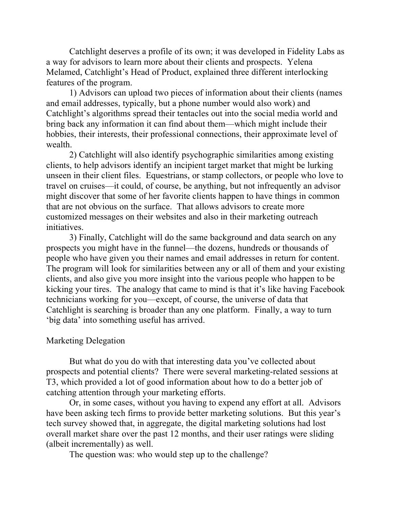Catchlight deserves a profile of its own; it was developed in Fidelity Labs as a way for advisors to learn more about their clients and prospects. Yelena Melamed, Catchlight's Head of Product, explained three different interlocking features of the program.

1) Advisors can upload two pieces of information about their clients (names and email addresses, typically, but a phone number would also work) and Catchlight's algorithms spread their tentacles out into the social media world and bring back any information it can find about them—which might include their hobbies, their interests, their professional connections, their approximate level of wealth.

2) Catchlight will also identify psychographic similarities among existing clients, to help advisors identify an incipient target market that might be lurking unseen in their client files. Equestrians, or stamp collectors, or people who love to travel on cruises—it could, of course, be anything, but not infrequently an advisor might discover that some of her favorite clients happen to have things in common that are not obvious on the surface. That allows advisors to create more customized messages on their websites and also in their marketing outreach initiatives.

3) Finally, Catchlight will do the same background and data search on any prospects you might have in the funnel—the dozens, hundreds or thousands of people who have given you their names and email addresses in return for content. The program will look for similarities between any or all of them and your existing clients, and also give you more insight into the various people who happen to be kicking your tires. The analogy that came to mind is that it's like having Facebook technicians working for you—except, of course, the universe of data that Catchlight is searching is broader than any one platform. Finally, a way to turn 'big data' into something useful has arrived.

#### Marketing Delegation

But what do you do with that interesting data you've collected about prospects and potential clients? There were several marketing-related sessions at T3, which provided a lot of good information about how to do a better job of catching attention through your marketing efforts.

Or, in some cases, without you having to expend any effort at all. Advisors have been asking tech firms to provide better marketing solutions. But this year's tech survey showed that, in aggregate, the digital marketing solutions had lost overall market share over the past 12 months, and their user ratings were sliding (albeit incrementally) as well.

The question was: who would step up to the challenge?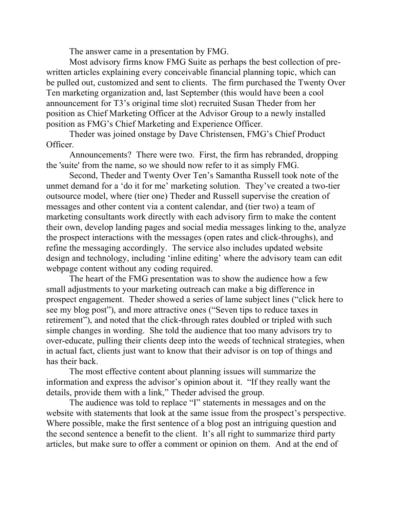The answer came in a presentation by FMG.

Most advisory firms know FMG Suite as perhaps the best collection of prewritten articles explaining every conceivable financial planning topic, which can be pulled out, customized and sent to clients. The firm purchased the Twenty Over Ten marketing organization and, last September (this would have been a cool announcement for T3's original time slot) recruited Susan Theder from her position as Chief Marketing Officer at the Advisor Group to a newly installed position as FMG's Chief Marketing and Experience Officer.

Theder was joined onstage by Dave Christensen, FMG's Chief Product Officer.

Announcements? There were two. First, the firm has rebranded, dropping the 'suite' from the name, so we should now refer to it as simply FMG.

Second, Theder and Twenty Over Ten's Samantha Russell took note of the unmet demand for a 'do it for me' marketing solution. They've created a two-tier outsource model, where (tier one) Theder and Russell supervise the creation of messages and other content via a content calendar, and (tier two) a team of marketing consultants work directly with each advisory firm to make the content their own, develop landing pages and social media messages linking to the, analyze the prospect interactions with the messages (open rates and click-throughs), and refine the messaging accordingly. The service also includes updated website design and technology, including 'inline editing' where the advisory team can edit webpage content without any coding required.

The heart of the FMG presentation was to show the audience how a few small adjustments to your marketing outreach can make a big difference in prospect engagement. Theder showed a series of lame subject lines ("click here to see my blog post"), and more attractive ones ("Seven tips to reduce taxes in retirement"), and noted that the click-through rates doubled or tripled with such simple changes in wording. She told the audience that too many advisors try to over-educate, pulling their clients deep into the weeds of technical strategies, when in actual fact, clients just want to know that their advisor is on top of things and has their back.

The most effective content about planning issues will summarize the information and express the advisor's opinion about it. "If they really want the details, provide them with a link," Theder advised the group.

The audience was told to replace "I" statements in messages and on the website with statements that look at the same issue from the prospect's perspective. Where possible, make the first sentence of a blog post an intriguing question and the second sentence a benefit to the client. It's all right to summarize third party articles, but make sure to offer a comment or opinion on them. And at the end of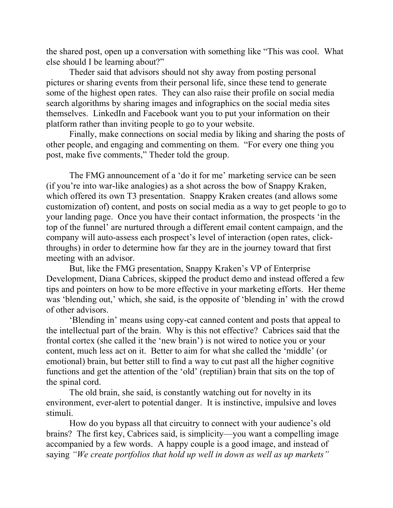the shared post, open up a conversation with something like "This was cool. What else should I be learning about?"

Theder said that advisors should not shy away from posting personal pictures or sharing events from their personal life, since these tend to generate some of the highest open rates. They can also raise their profile on social media search algorithms by sharing images and infographics on the social media sites themselves. LinkedIn and Facebook want you to put your information on their platform rather than inviting people to go to your website.

Finally, make connections on social media by liking and sharing the posts of other people, and engaging and commenting on them. "For every one thing you post, make five comments," Theder told the group.

The FMG announcement of a 'do it for me' marketing service can be seen (if you're into war-like analogies) as a shot across the bow of Snappy Kraken, which offered its own T3 presentation. Snappy Kraken creates (and allows some customization of) content, and posts on social media as a way to get people to go to your landing page. Once you have their contact information, the prospects 'in the top of the funnel' are nurtured through a different email content campaign, and the company will auto-assess each prospect's level of interaction (open rates, clickthroughs) in order to determine how far they are in the journey toward that first meeting with an advisor.

But, like the FMG presentation, Snappy Kraken's VP of Enterprise Development, Diana Cabrices, skipped the product demo and instead offered a few tips and pointers on how to be more effective in your marketing efforts. Her theme was 'blending out,' which, she said, is the opposite of 'blending in' with the crowd of other advisors.

'Blending in' means using copy-cat canned content and posts that appeal to the intellectual part of the brain. Why is this not effective? Cabrices said that the frontal cortex (she called it the 'new brain') is not wired to notice you or your content, much less act on it. Better to aim for what she called the 'middle' (or emotional) brain, but better still to find a way to cut past all the higher cognitive functions and get the attention of the 'old' (reptilian) brain that sits on the top of the spinal cord.

The old brain, she said, is constantly watching out for novelty in its environment, ever-alert to potential danger. It is instinctive, impulsive and loves stimuli.

How do you bypass all that circuitry to connect with your audience's old brains? The first key, Cabrices said, is simplicity—you want a compelling image accompanied by a few words. A happy couple is a good image, and instead of saying *"We create portfolios that hold up well in down as well as up markets"*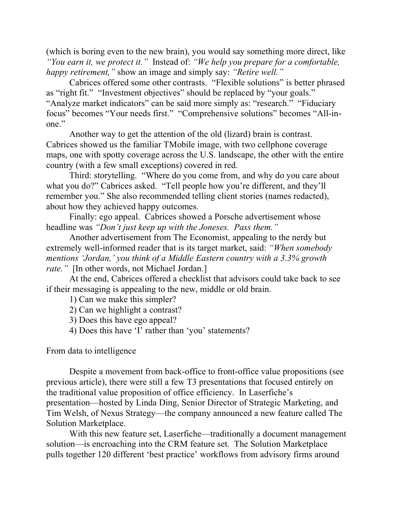(which is boring even to the new brain), you would say something more direct, like *"You earn it, we protect it."* Instead of: *"We help you prepare for a comfortable, happy retirement,"* show an image and simply say: *"Retire well."*

Cabrices offered some other contrasts. "Flexible solutions" is better phrased as "right fit." "Investment objectives" should be replaced by "your goals." "Analyze market indicators" can be said more simply as: "research." "Fiduciary focus" becomes "Your needs first." "Comprehensive solutions" becomes "All-inone."

Another way to get the attention of the old (lizard) brain is contrast. Cabrices showed us the familiar TMobile image, with two cellphone coverage maps, one with spotty coverage across the U.S. landscape, the other with the entire country (with a few small exceptions) covered in red.

Third: storytelling. "Where do you come from, and why do you care about what you do?" Cabrices asked. "Tell people how you're different, and they'll remember you." She also recommended telling client stories (names redacted), about how they achieved happy outcomes.

Finally: ego appeal. Cabrices showed a Porsche advertisement whose headline was *"Don't just keep up with the Joneses. Pass them."*

Another advertisement from The Economist, appealing to the nerdy but extremely well-informed reader that is its target market, said: *"When somebody mentions 'Jordan,' you think of a Middle Eastern country with a 3.3% growth rate."* [In other words, not Michael Jordan.]

At the end, Cabrices offered a checklist that advisors could take back to see if their messaging is appealing to the new, middle or old brain.

1) Can we make this simpler?

- 2) Can we highlight a contrast?
- 3) Does this have ego appeal?
- 4) Does this have 'I' rather than 'you' statements?

From data to intelligence

Despite a movement from back-office to front-office value propositions (see previous article), there were still a few T3 presentations that focused entirely on the traditional value proposition of office efficiency. In Laserfiche's presentation—hosted by Linda Ding, Senior Director of Strategic Marketing, and Tim Welsh, of Nexus Strategy—the company announced a new feature called The Solution Marketplace.

With this new feature set, Laserfiche—traditionally a document management solution—is encroaching into the CRM feature set. The Solution Marketplace pulls together 120 different 'best practice' workflows from advisory firms around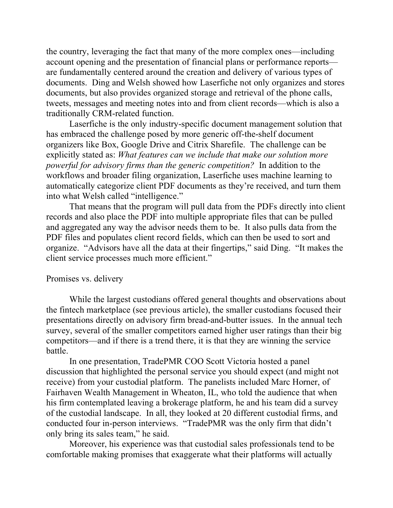the country, leveraging the fact that many of the more complex ones—including account opening and the presentation of financial plans or performance reports are fundamentally centered around the creation and delivery of various types of documents. Ding and Welsh showed how Laserfiche not only organizes and stores documents, but also provides organized storage and retrieval of the phone calls, tweets, messages and meeting notes into and from client records—which is also a traditionally CRM-related function.

Laserfiche is the only industry-specific document management solution that has embraced the challenge posed by more generic off-the-shelf document organizers like Box, Google Drive and Citrix Sharefile. The challenge can be explicitly stated as: *What features can we include that make our solution more powerful for advisory firms than the generic competition?* In addition to the workflows and broader filing organization, Laserfiche uses machine learning to automatically categorize client PDF documents as they're received, and turn them into what Welsh called "intelligence."

That means that the program will pull data from the PDFs directly into client records and also place the PDF into multiple appropriate files that can be pulled and aggregated any way the advisor needs them to be. It also pulls data from the PDF files and populates client record fields, which can then be used to sort and organize. "Advisors have all the data at their fingertips," said Ding. "It makes the client service processes much more efficient."

#### Promises vs. delivery

While the largest custodians offered general thoughts and observations about the fintech marketplace (see previous article), the smaller custodians focused their presentations directly on advisory firm bread-and-butter issues. In the annual tech survey, several of the smaller competitors earned higher user ratings than their big competitors—and if there is a trend there, it is that they are winning the service battle.

In one presentation, TradePMR COO Scott Victoria hosted a panel discussion that highlighted the personal service you should expect (and might not receive) from your custodial platform. The panelists included Marc Horner, of Fairhaven Wealth Management in Wheaton, IL, who told the audience that when his firm contemplated leaving a brokerage platform, he and his team did a survey of the custodial landscape. In all, they looked at 20 different custodial firms, and conducted four in-person interviews. "TradePMR was the only firm that didn't only bring its sales team," he said.

Moreover, his experience was that custodial sales professionals tend to be comfortable making promises that exaggerate what their platforms will actually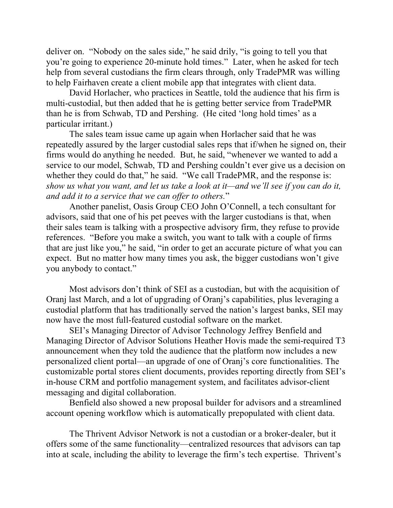deliver on. "Nobody on the sales side," he said drily, "is going to tell you that you're going to experience 20-minute hold times." Later, when he asked for tech help from several custodians the firm clears through, only TradePMR was willing to help Fairhaven create a client mobile app that integrates with client data.

David Horlacher, who practices in Seattle, told the audience that his firm is multi-custodial, but then added that he is getting better service from TradePMR than he is from Schwab, TD and Pershing. (He cited 'long hold times' as a particular irritant.)

The sales team issue came up again when Horlacher said that he was repeatedly assured by the larger custodial sales reps that if/when he signed on, their firms would do anything he needed. But, he said, "whenever we wanted to add a service to our model, Schwab, TD and Pershing couldn't ever give us a decision on whether they could do that," he said. "We call TradePMR, and the response is: *show us what you want, and let us take a look at it—and we'll see if you can do it, and add it to a service that we can offer to others.*"

Another panelist, Oasis Group CEO John O'Connell, a tech consultant for advisors, said that one of his pet peeves with the larger custodians is that, when their sales team is talking with a prospective advisory firm, they refuse to provide references. "Before you make a switch, you want to talk with a couple of firms that are just like you," he said, "in order to get an accurate picture of what you can expect. But no matter how many times you ask, the bigger custodians won't give you anybody to contact."

Most advisors don't think of SEI as a custodian, but with the acquisition of Oranj last March, and a lot of upgrading of Oranj's capabilities, plus leveraging a custodial platform that has traditionally served the nation's largest banks, SEI may now have the most full-featured custodial software on the market.

SEI's Managing Director of Advisor Technology Jeffrey Benfield and Managing Director of Advisor Solutions Heather Hovis made the semi-required T3 announcement when they told the audience that the platform now includes a new personalized client portal—an upgrade of one of Oranj's core functionalities. The customizable portal stores client documents, provides reporting directly from SEI's in-house CRM and portfolio management system, and facilitates advisor-client messaging and digital collaboration.

Benfield also showed a new proposal builder for advisors and a streamlined account opening workflow which is automatically prepopulated with client data.

The Thrivent Advisor Network is not a custodian or a broker-dealer, but it offers some of the same functionality—centralized resources that advisors can tap into at scale, including the ability to leverage the firm's tech expertise. Thrivent's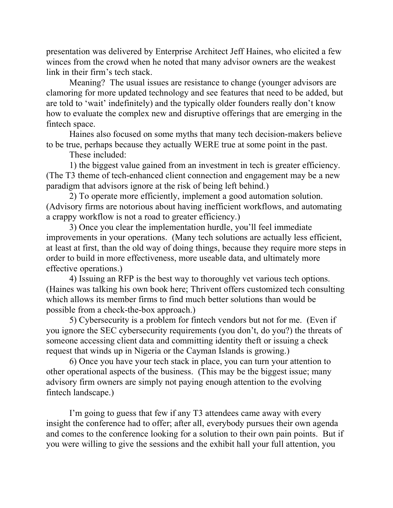presentation was delivered by Enterprise Architect Jeff Haines, who elicited a few winces from the crowd when he noted that many advisor owners are the weakest link in their firm's tech stack.

Meaning? The usual issues are resistance to change (younger advisors are clamoring for more updated technology and see features that need to be added, but are told to 'wait' indefinitely) and the typically older founders really don't know how to evaluate the complex new and disruptive offerings that are emerging in the fintech space.

Haines also focused on some myths that many tech decision-makers believe to be true, perhaps because they actually WERE true at some point in the past.

These included:

1) the biggest value gained from an investment in tech is greater efficiency. (The T3 theme of tech-enhanced client connection and engagement may be a new paradigm that advisors ignore at the risk of being left behind.)

2) To operate more efficiently, implement a good automation solution. (Advisory firms are notorious about having inefficient workflows, and automating a crappy workflow is not a road to greater efficiency.)

3) Once you clear the implementation hurdle, you'll feel immediate improvements in your operations. (Many tech solutions are actually less efficient, at least at first, than the old way of doing things, because they require more steps in order to build in more effectiveness, more useable data, and ultimately more effective operations.)

4) Issuing an RFP is the best way to thoroughly vet various tech options. (Haines was talking his own book here; Thrivent offers customized tech consulting which allows its member firms to find much better solutions than would be possible from a check-the-box approach.)

5) Cybersecurity is a problem for fintech vendors but not for me. (Even if you ignore the SEC cybersecurity requirements (you don't, do you?) the threats of someone accessing client data and committing identity theft or issuing a check request that winds up in Nigeria or the Cayman Islands is growing.)

6) Once you have your tech stack in place, you can turn your attention to other operational aspects of the business. (This may be the biggest issue; many advisory firm owners are simply not paying enough attention to the evolving fintech landscape.)

I'm going to guess that few if any T3 attendees came away with every insight the conference had to offer; after all, everybody pursues their own agenda and comes to the conference looking for a solution to their own pain points. But if you were willing to give the sessions and the exhibit hall your full attention, you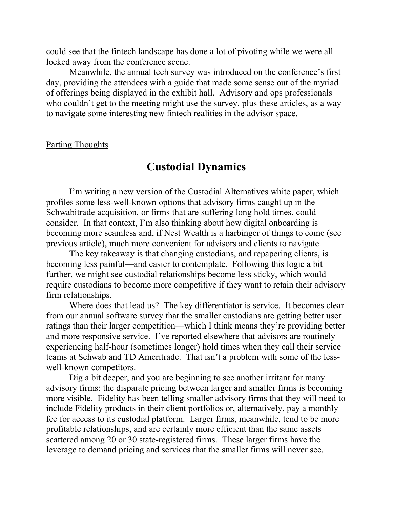could see that the fintech landscape has done a lot of pivoting while we were all locked away from the conference scene.

Meanwhile, the annual tech survey was introduced on the conference's first day, providing the attendees with a guide that made some sense out of the myriad of offerings being displayed in the exhibit hall. Advisory and ops professionals who couldn't get to the meeting might use the survey, plus these articles, as a way to navigate some interesting new fintech realities in the advisor space.

Parting Thoughts

## **Custodial Dynamics**

I'm writing a new version of the Custodial Alternatives white paper, which profiles some less-well-known options that advisory firms caught up in the Schwabitrade acquisition, or firms that are suffering long hold times, could consider. In that context, I'm also thinking about how digital onboarding is becoming more seamless and, if Nest Wealth is a harbinger of things to come (see previous article), much more convenient for advisors and clients to navigate.

The key takeaway is that changing custodians, and repapering clients, is becoming less painful—and easier to contemplate. Following this logic a bit further, we might see custodial relationships become less sticky, which would require custodians to become more competitive if they want to retain their advisory firm relationships.

Where does that lead us? The key differentiator is service. It becomes clear from our annual software survey that the smaller custodians are getting better user ratings than their larger competition—which I think means they're providing better and more responsive service. I've reported elsewhere that advisors are routinely experiencing half-hour (sometimes longer) hold times when they call their service teams at Schwab and TD Ameritrade. That isn't a problem with some of the lesswell-known competitors.

Dig a bit deeper, and you are beginning to see another irritant for many advisory firms: the disparate pricing between larger and smaller firms is becoming more visible. Fidelity has been telling smaller advisory firms that they will need to include Fidelity products in their client portfolios or, alternatively, pay a monthly fee for access to its custodial platform. Larger firms, meanwhile, tend to be more profitable relationships, and are certainly more efficient than the same assets scattered among 20 or 30 state-registered firms. These larger firms have the leverage to demand pricing and services that the smaller firms will never see.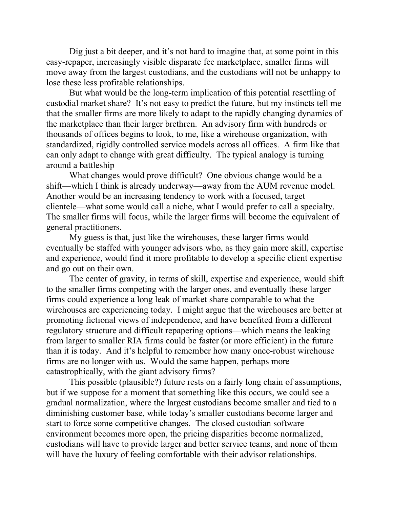Dig just a bit deeper, and it's not hard to imagine that, at some point in this easy-repaper, increasingly visible disparate fee marketplace, smaller firms will move away from the largest custodians, and the custodians will not be unhappy to lose these less profitable relationships.

But what would be the long-term implication of this potential resettling of custodial market share? It's not easy to predict the future, but my instincts tell me that the smaller firms are more likely to adapt to the rapidly changing dynamics of the marketplace than their larger brethren. An advisory firm with hundreds or thousands of offices begins to look, to me, like a wirehouse organization, with standardized, rigidly controlled service models across all offices. A firm like that can only adapt to change with great difficulty. The typical analogy is turning around a battleship

What changes would prove difficult? One obvious change would be a shift—which I think is already underway—away from the AUM revenue model. Another would be an increasing tendency to work with a focused, target clientele—what some would call a niche, what I would prefer to call a specialty. The smaller firms will focus, while the larger firms will become the equivalent of general practitioners.

My guess is that, just like the wirehouses, these larger firms would eventually be staffed with younger advisors who, as they gain more skill, expertise and experience, would find it more profitable to develop a specific client expertise and go out on their own.

The center of gravity, in terms of skill, expertise and experience, would shift to the smaller firms competing with the larger ones, and eventually these larger firms could experience a long leak of market share comparable to what the wirehouses are experiencing today. I might argue that the wirehouses are better at promoting fictional views of independence, and have benefited from a different regulatory structure and difficult repapering options—which means the leaking from larger to smaller RIA firms could be faster (or more efficient) in the future than it is today. And it's helpful to remember how many once-robust wirehouse firms are no longer with us. Would the same happen, perhaps more catastrophically, with the giant advisory firms?

This possible (plausible?) future rests on a fairly long chain of assumptions, but if we suppose for a moment that something like this occurs, we could see a gradual normalization, where the largest custodians become smaller and tied to a diminishing customer base, while today's smaller custodians become larger and start to force some competitive changes. The closed custodian software environment becomes more open, the pricing disparities become normalized, custodians will have to provide larger and better service teams, and none of them will have the luxury of feeling comfortable with their advisor relationships.